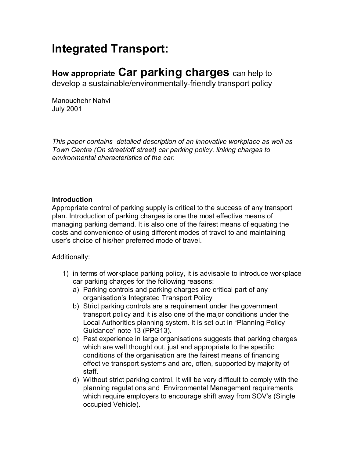## **Integrated Transport:**

## **How appropriate Car parking charges** can help to

develop a sustainable/environmentally-friendly transport policy

Manouchehr Nahvi July 2001

*This paper contains detailed description of an innovative workplace as well as Town Centre (On street/off street) car parking policy, linking charges to environmental characteristics of the car.* 

#### **Introduction**

Appropriate control of parking supply is critical to the success of any transport plan. Introduction of parking charges is one the most effective means of managing parking demand. It is also one of the fairest means of equating the costs and convenience of using different modes of travel to and maintaining user's choice of his/her preferred mode of travel.

Additionally:

- 1) in terms of workplace parking policy, it is advisable to introduce workplace car parking charges for the following reasons:
	- a) Parking controls and parking charges are critical part of any organisation's Integrated Transport Policy
	- b) Strict parking controls are a requirement under the government transport policy and it is also one of the major conditions under the Local Authorities planning system. It is set out in "Planning Policy" Guidance" note 13 (PPG13).
	- c) Past experience in large organisations suggests that parking charges which are well thought out, just and appropriate to the specific conditions of the organisation are the fairest means of financing effective transport systems and are, often, supported by majority of staff.
	- d) Without strict parking control, It will be very difficult to comply with the planning regulations and Environmental Management requirements which require employers to encourage shift away from SOV's (Single occupied Vehicle).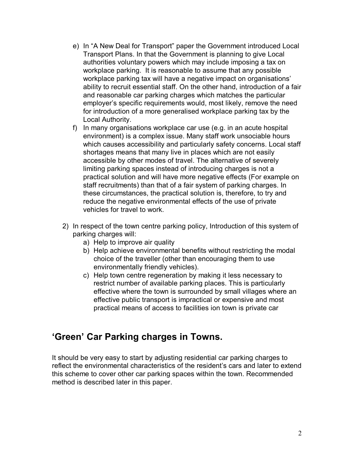- e) In "A New Deal for Transport" paper the Government introduced Local Transport Plans. In that the Government is planning to give Local authorities voluntary powers which may include imposing a tax on workplace parking. It is reasonable to assume that any possible workplace parking tax will have a negative impact on organisations' ability to recruit essential staff. On the other hand, introduction of a fair and reasonable car parking charges which matches the particular employer's specific requirements would, most likely, remove the need for introduction of a more generalised workplace parking tax by the Local Authority.
- f) In many organisations workplace car use (e.g. in an acute hospital environment) is a complex issue. Many staff work unsociable hours which causes accessibility and particularly safety concerns. Local staff shortages means that many live in places which are not easily accessible by other modes of travel. The alternative of severely limiting parking spaces instead of introducing charges is not a practical solution and will have more negative effects (For example on staff recruitments) than that of a fair system of parking charges. In these circumstances, the practical solution is, therefore, to try and reduce the negative environmental effects of the use of private vehicles for travel to work.
- 2) In respect of the town centre parking policy, Introduction of this system of parking charges will:
	- a) Help to improve air quality
	- b) Help achieve environmental benefits without restricting the modal choice of the traveller (other than encouraging them to use environmentally friendly vehicles).
	- c) Help town centre regeneration by making it less necessary to restrict number of available parking places. This is particularly effective where the town is surrounded by small villages where an effective public transport is impractical or expensive and most practical means of access to facilities ion town is private car

### **ëGreení Car Parking charges in Towns.**

It should be very easy to start by adjusting residential car parking charges to reflect the environmental characteristics of the resident's cars and later to extend this scheme to cover other car parking spaces within the town. Recommended method is described later in this paper.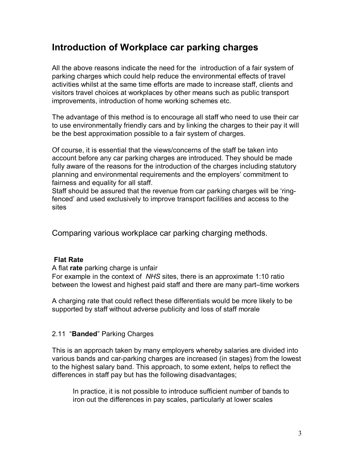## **Introduction of Workplace car parking charges**

All the above reasons indicate the need for the introduction of a fair system of parking charges which could help reduce the environmental effects of travel activities whilst at the same time efforts are made to increase staff, clients and visitors travel choices at workplaces by other means such as public transport improvements, introduction of home working schemes etc.

The advantage of this method is to encourage all staff who need to use their car to use environmentally friendly cars and by linking the charges to their pay it will be the best approximation possible to a fair system of charges.

Of course, it is essential that the views/concerns of the staff be taken into account before any car parking charges are introduced. They should be made fully aware of the reasons for the introduction of the charges including statutory planning and environmental requirements and the employers' commitment to fairness and equality for all staff.

Staff should be assured that the revenue from car parking charges will be 'ringfencedí and used exclusively to improve transport facilities and access to the sites

Comparing various workplace car parking charging methods.

#### **Flat Rate**

A flat **rate** parking charge is unfair

For example in the context of *NHS* sites, there is an approximate 1:10 ratio between the lowest and highest paid staff and there are many part-time workers

A charging rate that could reflect these differentials would be more likely to be supported by staff without adverse publicity and loss of staff morale

#### 2.11 "**Banded**" Parking Charges

This is an approach taken by many employers whereby salaries are divided into various bands and car-parking charges are increased (in stages) from the lowest to the highest salary band. This approach, to some extent, helps to reflect the differences in staff pay but has the following disadvantages;

In practice, it is not possible to introduce sufficient number of bands to iron out the differences in pay scales, particularly at lower scales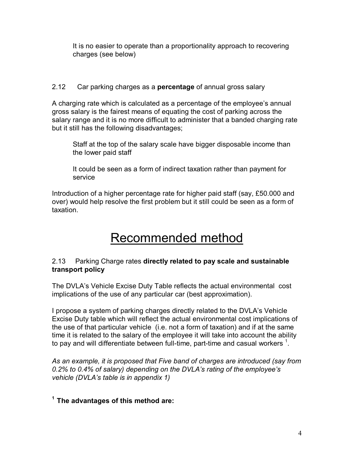It is no easier to operate than a proportionality approach to recovering charges (see below)

#### 2.12Car parking charges as a **percentage** of annual gross salary

A charging rate which is calculated as a percentage of the employee's annual gross salary is the fairest means of equating the cost of parking across the salary range and it is no more difficult to administer that a banded charging rate but it still has the following disadvantages;

Staff at the top of the salary scale have bigger disposable income than the lower paid staff

It could be seen as a form of indirect taxation rather than payment for service

Introduction of a higher percentage rate for higher paid staff (say, £50.000 and over) would help resolve the first problem but it still could be seen as a form of taxation.

# Recommended method

#### 2.13Parking Charge rates **directly related to pay scale and sustainable transport policy**

The DVLAís Vehicle Excise Duty Table reflects the actual environmental cost implications of the use of any particular car (best approximation).

I propose a system of parking charges directly related to the DVLAís Vehicle Excise Duty table which will reflect the actual environmental cost implications of the use of that particular vehicle (i.e. not a form of taxation) and if at the same time it is related to the salary of the employee it will take into account the ability to pay and will differentiate between full-time, part-time and casual workers  $^1$ .

*As an example, it is proposed that Five band of charges are introduced (say from 0.2% to 0.4% of salary) depending on the DVLAís rating of the employeeís vehicle (DVLAís table is in appendix 1)* 

#### **1 The advantages of this method are:**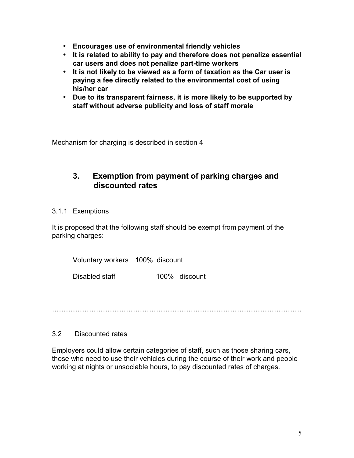- **Encourages use of environmental friendly vehicles**
- **It is related to ability to pay and therefore does not penalize essential car users and does not penalize part-time workers**
- **It is not likely to be viewed as a form of taxation as the Car user is paying a fee directly related to the environmental cost of using his/her car**
- **Due to its transparent fairness, it is more likely to be supported by staff without adverse publicity and loss of staff morale**

Mechanism for charging is described in section 4

#### **3. Exemption from payment of parking charges and discounted rates**

#### 3.1.1 Exemptions

It is proposed that the following staff should be exempt from payment of the parking charges:

Voluntary workers 100% discount

Disabled staff 100% discount

ÖÖÖÖÖÖÖÖÖÖÖÖÖÖÖÖÖÖÖÖÖÖÖÖÖÖÖÖÖÖÖÖÖÖÖÖ

#### 3.2 Discounted rates

Employers could allow certain categories of staff, such as those sharing cars, those who need to use their vehicles during the course of their work and people working at nights or unsociable hours, to pay discounted rates of charges.